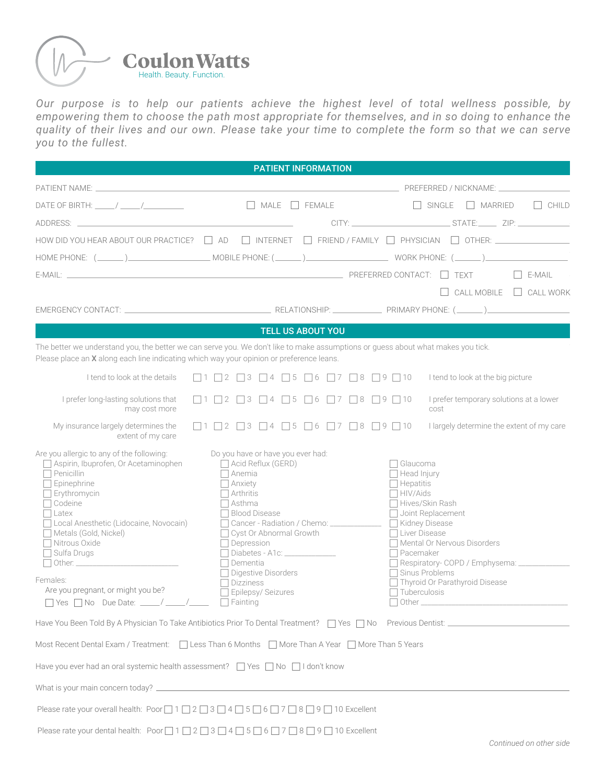

| <b>Coulon Watts</b>                                                                                                                                                                                                                                                                                                                                                                                                  |                                                                                            |                                          |                                   |  |                                                                                       |                                                 |               |
|----------------------------------------------------------------------------------------------------------------------------------------------------------------------------------------------------------------------------------------------------------------------------------------------------------------------------------------------------------------------------------------------------------------------|--------------------------------------------------------------------------------------------|------------------------------------------|-----------------------------------|--|---------------------------------------------------------------------------------------|-------------------------------------------------|---------------|
| Health. Beauty. Function.                                                                                                                                                                                                                                                                                                                                                                                            |                                                                                            |                                          |                                   |  |                                                                                       |                                                 |               |
| Our purpose is to help our patients achieve the highest level of total wellness possible, by<br>empowering them to choose the path most appropriate for themselves, and in so doing to enhance the                                                                                                                                                                                                                   |                                                                                            |                                          |                                   |  |                                                                                       |                                                 |               |
| quality of their lives and our own. Please take your time to complete the form so that we can serve<br>you to the fullest.                                                                                                                                                                                                                                                                                           |                                                                                            |                                          |                                   |  |                                                                                       |                                                 |               |
|                                                                                                                                                                                                                                                                                                                                                                                                                      |                                                                                            |                                          |                                   |  |                                                                                       |                                                 |               |
|                                                                                                                                                                                                                                                                                                                                                                                                                      |                                                                                            |                                          | <b>PATIENT INFORMATION</b>        |  |                                                                                       |                                                 |               |
| DATE OF BIRTH: $\frac{1}{\sqrt{1-\frac{1}{2}}}\sqrt{1-\frac{1}{2-\frac{1}{2}}}\sqrt{1-\frac{1}{2-\frac{1}{2}}}\sqrt{1-\frac{1}{2-\frac{1}{2}}}\sqrt{1-\frac{1}{2-\frac{1}{2}}}\sqrt{1-\frac{1}{2-\frac{1}{2}}}\sqrt{1-\frac{1}{2-\frac{1}{2}}}\sqrt{1-\frac{1}{2-\frac{1}{2}}}\sqrt{1-\frac{1}{2-\frac{1}{2}}}\sqrt{1-\frac{1}{2-\frac{1}{2}}}\sqrt{1-\frac{1}{2-\frac{1}{2}}}\sqrt{1-\frac{1}{2-\frac{1}{2}}}\sqrt$ |                                                                                            |                                          | $MALE$ FEMALE                     |  |                                                                                       | $\Box$ SINGLE $\Box$ MARRIED                    | $\Box$ CHILD  |
|                                                                                                                                                                                                                                                                                                                                                                                                                      |                                                                                            |                                          |                                   |  |                                                                                       |                                                 |               |
|                                                                                                                                                                                                                                                                                                                                                                                                                      |                                                                                            |                                          |                                   |  |                                                                                       |                                                 |               |
| $E$ -MAIL: $\hfill$ TEXT                                                                                                                                                                                                                                                                                                                                                                                             |                                                                                            |                                          |                                   |  |                                                                                       |                                                 | $\Box$ E-MAIL |
|                                                                                                                                                                                                                                                                                                                                                                                                                      |                                                                                            |                                          |                                   |  |                                                                                       | $\Box$ CALL MOBILE $\Box$ CALL WORK             |               |
|                                                                                                                                                                                                                                                                                                                                                                                                                      |                                                                                            |                                          | <b>TELL US ABOUT YOU</b>          |  |                                                                                       |                                                 |               |
| The better we understand you, the better we can serve you. We don't like to make assumptions or guess about what makes you tick.<br>Please place an X along each line indicating which way your opinion or preference leans.                                                                                                                                                                                         |                                                                                            |                                          |                                   |  |                                                                                       |                                                 |               |
|                                                                                                                                                                                                                                                                                                                                                                                                                      |                                                                                            |                                          |                                   |  |                                                                                       |                                                 |               |
|                                                                                                                                                                                                                                                                                                                                                                                                                      |                                                                                            |                                          |                                   |  |                                                                                       |                                                 |               |
| I tend to look at the details                                                                                                                                                                                                                                                                                                                                                                                        | $\Box$ 1 $\Box$ 2                                                                          | $\Box$ 3<br>$ $   4                      | $\Box$ 5                          |  | $\Box 6 \Box 7 \Box 8 \Box 9 \Box 10$                                                 | I tend to look at the big picture               |               |
| I prefer long-lasting solutions that<br>may cost more                                                                                                                                                                                                                                                                                                                                                                | $\Box$ 1 $\Box$ 2                                                                          | $\Box$ 3<br>$\vert$ 4                    |                                   |  | $\Box 5 \Box 6 \Box 7 \Box 8 \Box 9 \Box 10$                                          | I prefer temporary solutions at a lower<br>cost |               |
| My insurance largely determines the<br>extent of my care                                                                                                                                                                                                                                                                                                                                                             | $\Box$ 1 $\Box$ 2 $\Box$ 3 $\Box$ 4 $\Box$ 5 $\Box$ 6 $\Box$ 7 $\Box$ 8 $\Box$ 9 $\Box$ 10 |                                          |                                   |  |                                                                                       | I largely determine the extent of my care       |               |
| Are you allergic to any of the following:<br>Aspirin, Ibuprofen, Or Acetaminophen                                                                                                                                                                                                                                                                                                                                    |                                                                                            | $\Box$ Acid Reflux (GERD)                | Do you have or have you ever had: |  | $\sqcap$ Glaucoma                                                                     |                                                 |               |
| $\Box$ Penicillin<br>$\Box$ Epinephrine                                                                                                                                                                                                                                                                                                                                                                              | $\Box$ Anemia<br>$\Box$ Anxiety<br>$\Box$ Arthritis                                        |                                          |                                   |  | $\Box$ Head Injury<br>$\Box$ Hepatitis<br>$\Box$ HIV/Aids                             |                                                 |               |
| $\Box$ Erythromycin<br>$\Box$ Codeine<br>$\Box$ Latex                                                                                                                                                                                                                                                                                                                                                                |                                                                                            | $\sqcap$ Asthma<br>□ Blood Disease       |                                   |  |                                                                                       | Hives/Skin Rash<br>Joint Replacement            |               |
| □ Local Anesthetic (Lidocaine, Novocain)<br>Metals (Gold, Nickel)                                                                                                                                                                                                                                                                                                                                                    |                                                                                            |                                          | □ Cyst Or Abnormal Growth         |  | Cancer - Radiation / Chemo: ________________ [ Kidney Disease<br>$\Box$ Liver Disease |                                                 |               |
| $\Box$ Nitrous Oxide<br>$\Box$ Sulfa Drugs                                                                                                                                                                                                                                                                                                                                                                           |                                                                                            | $\Box$ Depression                        | □ Diabetes - A1c: ______________  |  | $\Box$ Pacemaker                                                                      | Mental Or Nervous Disorders                     |               |
|                                                                                                                                                                                                                                                                                                                                                                                                                      |                                                                                            | $\Box$ Dementia<br>□ Digestive Disorders |                                   |  |                                                                                       | $\Box$ Sinus Problems                           |               |
| Females:<br>Are you pregnant, or might you be?                                                                                                                                                                                                                                                                                                                                                                       |                                                                                            | $\Box$ Dizziness<br>Epilepsy/Seizures    |                                   |  | $\Box$ Tuberculosis                                                                   | Thyroid Or Parathyroid Disease                  |               |
| $\Box$ Yes $\Box$ No Due Date: ____/ ____/                                                                                                                                                                                                                                                                                                                                                                           | $\Box$ Fainting                                                                            |                                          |                                   |  |                                                                                       | $\Box$ Other $\Box$                             |               |
| Most Recent Dental Exam / Treatment:   Less Than 6 Months   More Than A Year   More Than 5 Years                                                                                                                                                                                                                                                                                                                     |                                                                                            |                                          |                                   |  |                                                                                       |                                                 |               |
| Have you ever had an oral systemic health assessment? □ Yes □ No □ I don't know                                                                                                                                                                                                                                                                                                                                      |                                                                                            |                                          |                                   |  |                                                                                       |                                                 |               |
|                                                                                                                                                                                                                                                                                                                                                                                                                      |                                                                                            |                                          |                                   |  |                                                                                       |                                                 |               |
| Please rate your overall health: Poor 0 1 0 2 0 3 0 4 0 5 0 6 0 7 0 8 0 9 0 10 Excellent                                                                                                                                                                                                                                                                                                                             |                                                                                            |                                          |                                   |  |                                                                                       |                                                 |               |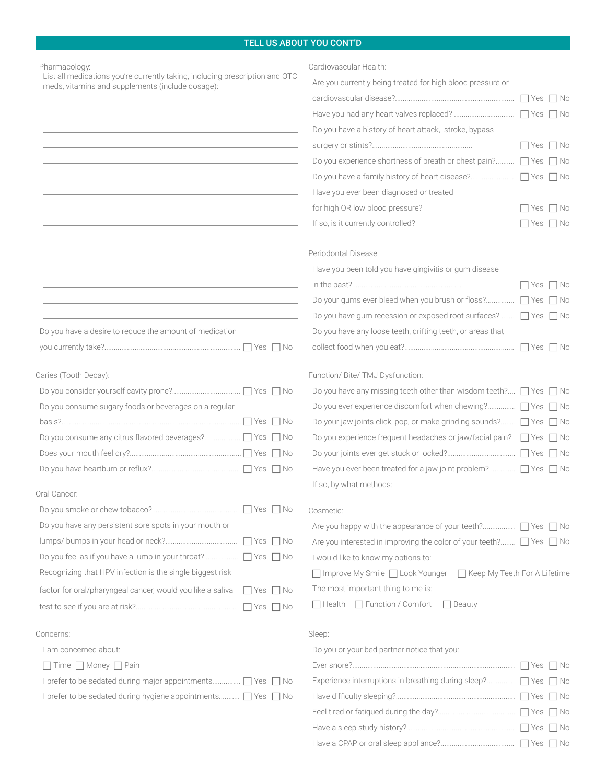## TELL US ABOUT YOU CONT'D

|                                                                                                                                                                                                                                                | <b>TELL US ABOUT YOU CONT'D</b>                                                                            |                              |
|------------------------------------------------------------------------------------------------------------------------------------------------------------------------------------------------------------------------------------------------|------------------------------------------------------------------------------------------------------------|------------------------------|
| Pharmacology.<br>List all medications you're currently taking, including prescription and OTC                                                                                                                                                  | Cardiovascular Health:                                                                                     |                              |
| meds, vitamins and supplements (include dosage):                                                                                                                                                                                               | Are you currently being treated for high blood pressure or                                                 |                              |
|                                                                                                                                                                                                                                                |                                                                                                            |                              |
| <u> 1989 - Johann Stoff, amerikansk politiker (d. 1989)</u>                                                                                                                                                                                    | Do you have a history of heart attack, stroke, bypass                                                      |                              |
| <u> 1989 - Johann Barn, amerikansk politiker (* 1908)</u>                                                                                                                                                                                      | Do you experience shortness of breath or chest pain? □ Yes □ No                                            | $\Box$ Yes $\Box$ No         |
| the control of the control of the control of the control of the control of the control of the control of the control of the control of the control of the control of the control of the control of the control of the control                  |                                                                                                            |                              |
| <u> 1989 - Johann Stein, marwolaethau a bhann an t-Amhain ann an t-Amhain an t-Amhain an t-Amhain an t-Amhain an </u>                                                                                                                          | Have you ever been diagnosed or treated                                                                    |                              |
|                                                                                                                                                                                                                                                | for high OR low blood pressure?                                                                            | $\Box$ Yes $\Box$ No         |
| <u> 1989 - Johann Barn, amerikan bernama di sebagai bernama di sebagai bernama di sebagai bernama di sebagai bern</u><br><u> 1989 - Johann Stein, mars an deutscher Stein und der Stein und der Stein und der Stein und der Stein und der</u>  | If so, is it currently controlled?                                                                         | $\Box$ Yes $\Box$ No         |
| <u> 1989 - Johann Barn, amerikansk politiker (d. 1989)</u>                                                                                                                                                                                     | Periodontal Disease:                                                                                       |                              |
| <u> 1989 - Johann Stoff, deutscher Stoff, der Stoff, der Stoff, der Stoff, der Stoff, der Stoff, der Stoff, der S</u><br><u> 1989 - Johann Stoff, deutscher Stoff, der Stoff, der Stoff, der Stoff, der Stoff, der Stoff, der Stoff, der S</u> | Have you been told you have gingivitis or gum disease                                                      | $\Box$ Yes $\Box$ No         |
| <u> 1989 - Andrea Stadt Britain, amerikansk politik (* 1958)</u>                                                                                                                                                                               | Do your gums ever bleed when you brush or floss? □ Yes □ No                                                |                              |
|                                                                                                                                                                                                                                                | Do you have gum recession or exposed root surfaces? □ Yes □ No                                             |                              |
| Do you have a desire to reduce the amount of medication                                                                                                                                                                                        | Do you have any loose teeth, drifting teeth, or areas that                                                 |                              |
|                                                                                                                                                                                                                                                |                                                                                                            |                              |
| Caries (Tooth Decay):                                                                                                                                                                                                                          | Function/ Bite/ TMJ Dysfunction:<br>Do you have any missing teeth other than wisdom teeth? □ Yes □ No      |                              |
| Do you consume sugary foods or beverages on a regular                                                                                                                                                                                          | Do you ever experience discomfort when chewing? □ Yes □ No                                                 |                              |
|                                                                                                                                                                                                                                                | Do your jaw joints click, pop, or make grinding sounds? $\Box$ Yes $\Box$ No                               |                              |
|                                                                                                                                                                                                                                                | Do you experience frequent headaches or jaw/facial pain? □ Yes □ No                                        |                              |
|                                                                                                                                                                                                                                                | Have you ever been treated for a jaw joint problem? 7 Yes 7 No                                             |                              |
| Oral Cancer.                                                                                                                                                                                                                                   | If so, by what methods:                                                                                    |                              |
|                                                                                                                                                                                                                                                | Cosmetic:                                                                                                  |                              |
| Do you have any persistent sore spots in your mouth or                                                                                                                                                                                         |                                                                                                            |                              |
|                                                                                                                                                                                                                                                | Are you interested in improving the color of your teeth? □ Yes □ No<br>I would like to know my options to: |                              |
| Recognizing that HPV infection is the single biggest risk                                                                                                                                                                                      | □ Improve My Smile □ Look Younger                                                                          | Keep My Teeth For A Lifetime |
| factor for oral/pharyngeal cancer, would you like a saliva<br>$\Box$ Yes $\Box$ No                                                                                                                                                             | The most important thing to me is:                                                                         |                              |
|                                                                                                                                                                                                                                                | □ Health □ Function / Comfort<br>$\Box$ Beauty                                                             |                              |
| Concerns:                                                                                                                                                                                                                                      | Sleep:                                                                                                     |                              |
| I am concerned about:                                                                                                                                                                                                                          | Do you or your bed partner notice that you:                                                                |                              |
| $\Box$ Time $\Box$ Money $\Box$ Pain                                                                                                                                                                                                           | Experience interruptions in breathing during sleep? ■ Yes ■ No                                             |                              |
| I prefer to be sedated during hygiene appointments   Yes   No                                                                                                                                                                                  |                                                                                                            |                              |

 Yes No Feel tired or fatigued during the day?......................................... Yes No Have a sleep study history?......................................................... Yes No Have a CPAP or oral sleep appliance?.......................................